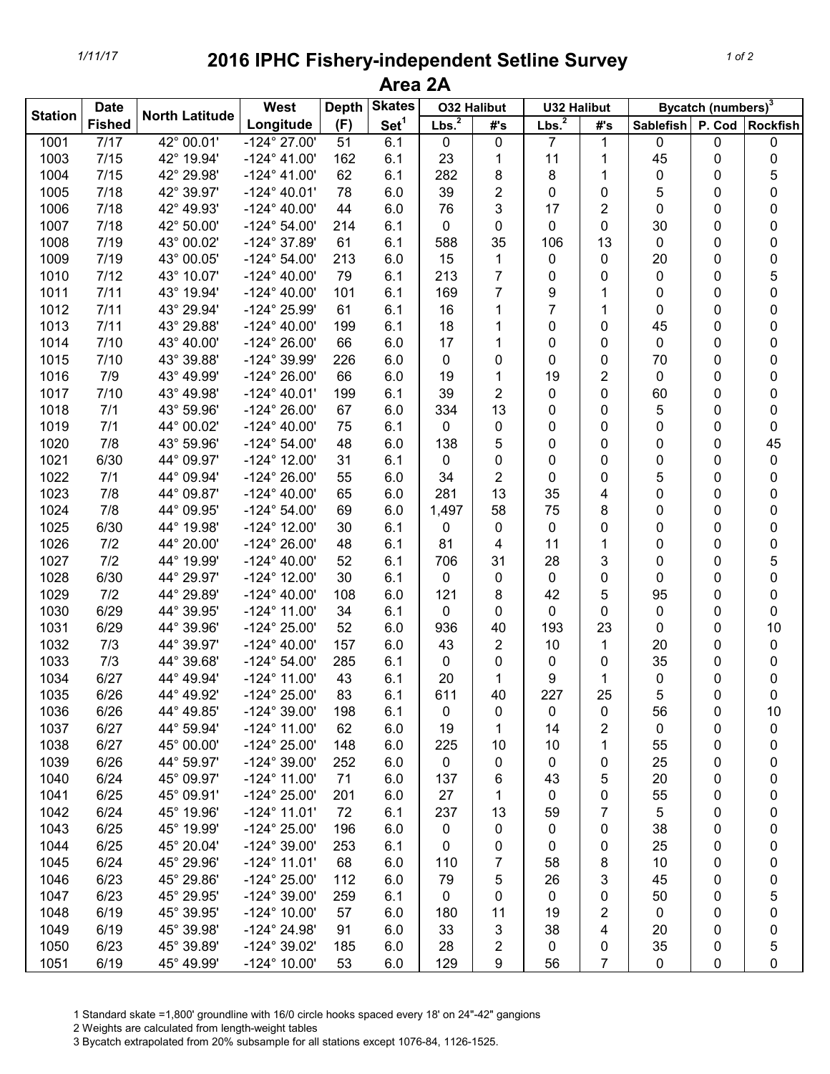## *1/11/17* **2016 IPHC Fishery-independent Setline Survey Area 2A**

| <b>Station</b> | <b>Date</b>   | <b>North Latitude</b> | West                  | <b>Skates</b><br><b>Depth</b> |                  | <b>O32 Halibut</b> |        | <b>U32 Halibut</b> |                | Bycatch (numbers) <sup>3</sup> |   |    |
|----------------|---------------|-----------------------|-----------------------|-------------------------------|------------------|--------------------|--------|--------------------|----------------|--------------------------------|---|----|
|                | <b>Fished</b> |                       | Longitude             | (F)                           | Set <sup>1</sup> | Lbs. <sup>2</sup>  | #'s    | Lbs. <sup>2</sup>  | #'s            | Sablefish P. Cod Rockfish      |   |    |
| 1001           | 7/17          | 42° 00.01'            | $-124^{\circ}$ 27.00' | 51                            | 6.1              | 0                  | 0      | 7                  | 1              | 0                              | 0 | 0  |
| 1003           | 7/15          | 42° 19.94'            | $-124^{\circ}$ 41.00' | 162                           | 6.1              | 23                 | 1      | 11                 | 1              | 45                             | 0 | 0  |
| 1004           | 7/15          | 42° 29.98'            | $-124^{\circ}$ 41.00' | 62                            | 6.1              | 282                | 8      | 8                  | 1              | 0                              | 0 | 5  |
| 1005           | 7/18          | 42° 39.97'            | $-124^{\circ}$ 40.01' | 78                            | 6.0              | 39                 | 2      | 0                  | 0              | 5                              | 0 | 0  |
| 1006           | 7/18          | 42° 49.93'            | $-124^{\circ}$ 40.00' | 44                            | 6.0              | 76                 | 3      | 17                 | 2              | 0                              | 0 | 0  |
| 1007           | 7/18          | 42° 50.00'            | $-124^{\circ} 54.00'$ | 214                           | 6.1              | 0                  | 0      | 0                  | 0              | 30                             | 0 | 0  |
| 1008           | 7/19          | 43° 00.02'            | $-124^{\circ}$ 37.89' | 61                            | 6.1              | 588                | 35     | 106                | 13             | 0                              | 0 | 0  |
| 1009           | 7/19          | 43° 00.05'            | $-124^{\circ} 54.00'$ | 213                           | 6.0              | 15                 | 1      | 0                  | 0              | 20                             | 0 | 0  |
| 1010           | 7/12          | 43° 10.07'            | $-124^{\circ}$ 40.00' | 79                            | 6.1              | 213                | 7      | 0                  | 0              | 0                              | 0 | 5  |
| 1011           | 7/11          | 43° 19.94'            | $-124^{\circ}$ 40.00' | 101                           | 6.1              | 169                | 7      | 9                  | 1              | 0                              | 0 | 0  |
| 1012           | 7/11          | 43° 29.94'            | -124° 25.99'          | 61                            | 6.1              | 16                 | 1      | 7                  | 1              | 0                              | 0 | 0  |
| 1013           | 7/11          | 43° 29.88'            | $-124^{\circ}$ 40.00' | 199                           | 6.1              | 18                 | 1      | 0                  | 0              | 45                             | 0 | 0  |
| 1014           | 7/10          | 43° 40.00'            | $-124^{\circ} 26.00'$ | 66                            | 6.0              | 17                 | 1      | 0                  | 0              | 0                              | 0 | 0  |
| 1015           | 7/10          | 43° 39.88'            | -124° 39.99'          | 226                           | 6.0              | 0                  | 0      | 0                  | 0              | 70                             | 0 | 0  |
| 1016           | 7/9           | 43° 49.99'            | $-124^{\circ} 26.00'$ | 66                            | 6.0              | 19                 | 1      | 19                 | 2              | 0                              | 0 | 0  |
| 1017           | 7/10          | 43° 49.98'            | $-124^{\circ}$ 40.01' | 199                           | 6.1              | 39                 | 2      | 0                  | 0              | 60                             | 0 | 0  |
| 1018           | 7/1           | 43° 59.96'            | $-124^{\circ} 26.00'$ | 67                            | 6.0              | 334                | 13     | 0                  | 0              | 5                              | 0 | 0  |
| 1019           | 7/1           | 44° 00.02'            | $-124^{\circ}$ 40.00' | 75                            | 6.1              | 0                  | 0      | 0                  | 0              | 0                              | 0 | 0  |
| 1020           | 7/8           | 43° 59.96'            | $-124^{\circ} 54.00'$ | 48                            | 6.0              | 138                | 5      | 0                  | 0              | 0                              | 0 | 45 |
| 1021           | 6/30          | 44° 09.97'            | $-124^{\circ}$ 12.00' | 31                            | 6.1              | 0                  | 0      | 0                  | 0              | 0                              | 0 | 0  |
| 1022           | 7/1           | 44° 09.94'            | $-124^{\circ} 26.00'$ | 55                            | 6.0              | 34                 | 2      | 0                  | 0              | 5                              | 0 | 0  |
| 1023           | 7/8           | 44° 09.87'            | $-124^{\circ}$ 40.00' | 65                            | 6.0              | 281                | 13     | 35                 | 4              | 0                              | 0 | 0  |
| 1024           | 7/8           | 44° 09.95'            | $-124^{\circ} 54.00'$ | 69                            | 6.0              | 1,497              | 58     | 75                 | 8              | 0                              | 0 | 0  |
| 1025           | 6/30          | 44° 19.98'            | $-124^{\circ}$ 12.00' | 30                            | 6.1              | 0                  | 0      | 0                  | 0              | 0                              | 0 | 0  |
| 1026           | 7/2           | 44° 20.00'            | $-124^{\circ} 26.00'$ | 48                            | 6.1              | 81                 | 4      | 11                 | 1              | 0                              | 0 | 0  |
| 1027           | 7/2           | 44° 19.99'            | $-124^{\circ}$ 40.00' | 52                            | 6.1              | 706                | 31     | 28                 | 3              | 0                              | 0 | 5  |
| 1028           | 6/30          | 44° 29.97'            | $-124^{\circ}$ 12.00' | 30                            | 6.1              | 0                  | 0      | 0                  | 0              | 0                              | 0 | 0  |
| 1029           | 7/2           | 44° 29.89'            | $-124^{\circ}$ 40.00' | 108                           | 6.0              | 121                | 8      | 42                 | 5              | 95                             | 0 | 0  |
| 1030           | 6/29          | 44° 39.95'            | $-124^{\circ}$ 11.00' | 34                            | 6.1              | 0                  | 0      | 0                  | 0              | 0                              | 0 | 0  |
| 1031           | 6/29          | 44° 39.96'            | $-124^{\circ} 25.00'$ | 52                            | 6.0              | 936                | 40     | 193                | 23             | 0                              | 0 | 10 |
| 1032           | 7/3           | 44° 39.97'            | $-124^{\circ}$ 40.00' | 157                           | 6.0              | 43                 | 2      | 10                 | 1              | 20                             | 0 | 0  |
| 1033           | 7/3           | 44° 39.68'            | $-124^{\circ} 54.00'$ |                               | 6.1              |                    |        |                    |                | 35                             |   |    |
| 1034           | 6/27          | 44° 49.94'            | $-124^{\circ}$ 11.00' | 285                           | 6.1              | 0                  | 0<br>1 | 0                  | 0<br>1         |                                | 0 | 0  |
|                | 6/26          | 44° 49.92'            | $-124^{\circ} 25.00'$ | 43                            |                  | 20<br>611          | 40     | 9                  | 25             | $\mathbf 0$                    | 0 | 0  |
| 1035           | 6/26          | 44° 49.85'            | -124° 39.00'          | 83<br>198                     | 6.1<br>6.1       |                    |        | 227                |                | 5<br>56                        | 0 | 0  |
| 1036           |               |                       |                       |                               |                  | 0                  | 0      | 0                  | 0              |                                | 0 | 10 |
| 1037           | 6/27          | 44° 59.94'            | $-124^{\circ}$ 11.00' | 62                            | 6.0              | 19                 | 1      | 14                 | 2              | 0                              | 0 | 0  |
| 1038           | 6/27          | 45° 00.00'            | $-124^{\circ} 25.00'$ | 148                           | 6.0              | 225                | 10     | 10                 | 1              | 55                             | 0 | 0  |
| 1039           | 6/26          | 44° 59.97'            | $-124^{\circ}$ 39.00' | 252                           | 6.0              | 0                  | 0      | 0                  | 0              | 25                             | 0 | 0  |
| 1040           | 6/24          | 45° 09.97'            | $-124^{\circ}$ 11.00' | 71                            | 6.0              | 137                | 6      | 43                 | 5              | 20                             | 0 | 0  |
| 1041           | 6/25          | 45° 09.91'            | $-124^{\circ} 25.00'$ | 201                           | 6.0              | 27                 | 1      | 0                  | 0              | 55                             | 0 | 0  |
| 1042           | 6/24          | 45° 19.96'            | $-124^{\circ}$ 11.01' | 72                            | 6.1              | 237                | 13     | 59                 | 7              | 5                              | 0 | 0  |
| 1043           | 6/25          | 45° 19.99'            | $-124^{\circ} 25.00'$ | 196                           | 6.0              | 0                  | 0      | 0                  | 0              | 38                             | 0 | 0  |
| 1044           | 6/25          | 45° 20.04'            | $-124^{\circ}$ 39.00' | 253                           | 6.1              | 0                  | 0      | 0                  | 0              | 25                             | 0 | 0  |
| 1045           | 6/24          | 45° 29.96'            | $-124^{\circ}$ 11.01' | 68                            | 6.0              | 110                | 7      | 58                 | 8              | 10                             | 0 | 0  |
| 1046           | 6/23          | 45° 29.86'            | $-124^{\circ} 25.00'$ | 112                           | 6.0              | 79                 | 5      | 26                 | 3              | 45                             | 0 | 0  |
| 1047           | 6/23          | 45° 29.95'            | $-124^{\circ}$ 39.00' | 259                           | 6.1              | 0                  | 0      | 0                  | 0              | 50                             | 0 | 5  |
| 1048           | 6/19          | 45° 39.95'            | $-124^{\circ}$ 10.00' | 57                            | 6.0              | 180                | 11     | 19                 | 2              | $\mathbf 0$                    | 0 | 0  |
| 1049           | 6/19          | 45° 39.98'            | $-124^{\circ} 24.98'$ | 91                            | 6.0              | 33                 | 3      | 38                 | 4              | 20                             | 0 | 0  |
| 1050           | 6/23          | 45° 39.89'            | $-124^{\circ}$ 39.02' | 185                           | 6.0              | 28                 | 2      | 0                  | 0              | 35                             | 0 | 5  |
| 1051           | 6/19          | 45° 49.99'            | $-124^{\circ}$ 10.00' | 53                            | 6.0              | 129                | 9      | 56                 | $\overline{7}$ | $\mathbf 0$                    | 0 | 0  |

1 Standard skate =1,800' groundline with 16/0 circle hooks spaced every 18' on 24"-42" gangions

2 Weights are calculated from length-weight tables

3 Bycatch extrapolated from 20% subsample for all stations except 1076-84, 1126-1525.